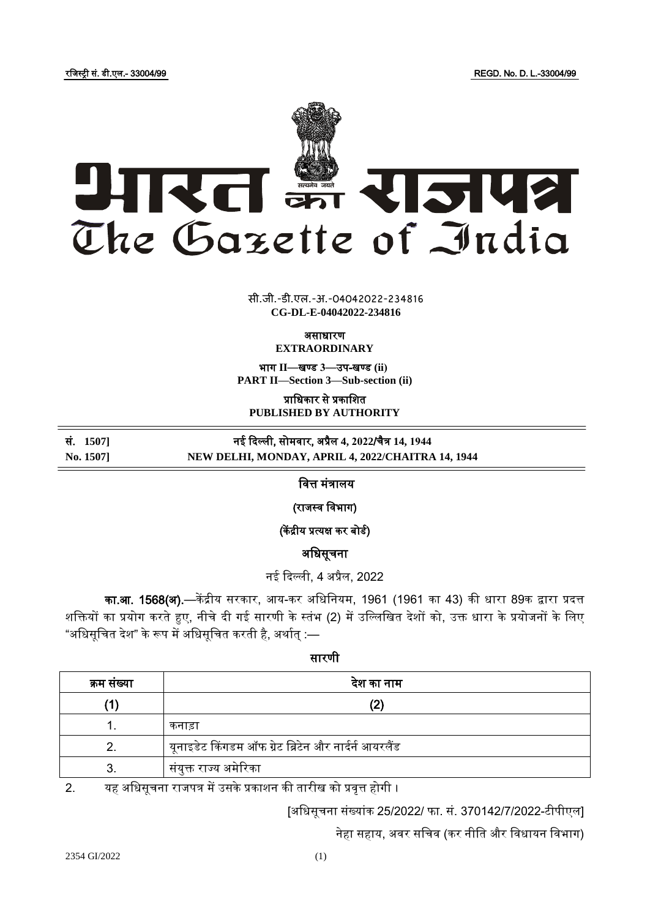रजिस्ट्री सं. डी.एल.- 33004/99 REGD. No. D. L.-33004/99



 $\overline{\phantom{a}}$   $\overline{\phantom{a}}$   $\overline{\phantom{a}}$ **xxx**GIDE**xxx** सी.जी.-डी.एल.-अ.-04042022-234816 **CG-DL-E-04042022-234816**

असाधारण

**EXTRAORDINARY**

भाग **II**—खण् ड **3**—उप-खण् ड **(ii) PART II—Section 3—Sub-section (ii)**

प्राजधकार से प्रकाजित **PUBLISHED BY AUTHORITY**

सं. **1507]** नई ददल्ली, सोमिार, अप्रैल **4, 2022**/चैत्र **14, 1944**

# **No. 1507] NEW DELHI, MONDAY, APRIL 4, 2022/CHAITRA 14, 1944**

### जित्त मंत्रालय

(राजस्व विभाग)

(केंद्रीय प्रत्यक्ष कर बोर्ड)

अजधसूचना

नई ददल्ली, 4 अप्रैल, 2022

का.आ. 1568(अ).—केंद्रीय सरकार, आय-कर अधिनियम, 1961 (1961 का 43) की धारा 89क द्वारा प्रदत्त शक्तियों का प्रयोग करते हुए, नीचे दी गई सारणी के स्तंभ (2) में उल्लिखित देशों को, उक्त धारा के प्रयोजनों के लिए "अधिसूचित देश" के रूप में अधिसूचित करती है, अर्थात :—

सारणी

| क्रम सख्या | देश का नाम                                           |
|------------|------------------------------------------------------|
|            |                                                      |
|            | कनाड़ा                                               |
|            | यूनाइडेट किंगडम ऑफ ग्रेट ब्रिटेन और नार्दर्न आयरलैंड |
|            | संयुक्त राज्य अमेरिका                                |

2. यह अधिसूचना राजपत्र में उसके प्रकाशन की तारीख को प्रवृत्त होगी ।

[अजधसूचना संख्यांक 25/2022/ फा. सं. 370142/7/2022-टीपीएल]

नेहा सहाय, अवर सचिव (कर नीति और विधायन विभाग)